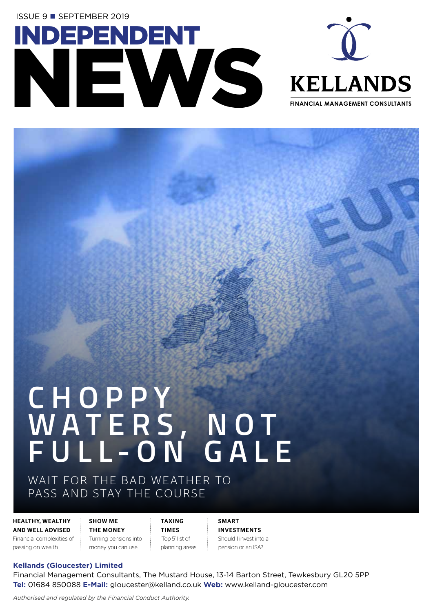**ISSUE 9 ■ SEPTEMBER 2019** 





## **C H O P P Y W A T E R S , N O T FULL-ON GALE**

WAIT FOR THE BAD WEATHER TO PASS AND STAY THE COURSE

HEALTHY, WEALTHY AND WELL ADVISED Financial complexities of

passing on wealth

SHOW ME THE MONEY Turning pensions into money you can use

TAXING TIMES 'Top 5' list of planning areas SMART INVESTMENTS Should I invest into a pension or an ISA?

## **Kellands (Gloucester) Limited**

Financial Management Consultants, The Mustard House, 13-14 Barton Street, Tewkesbury GL20 5PP **Tel:** 01684 850088 **E-Mail:** gloucester@kelland.co.uk **Web:** www.kelland-gloucester.com

*Authorised and regulated by the Financial Conduct Authority.*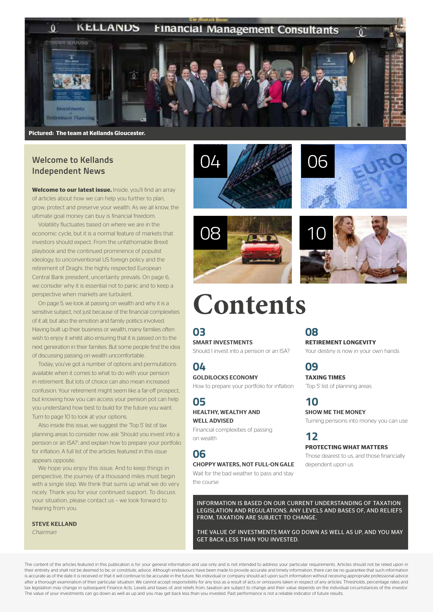#### **KELLANDS**  $\bf{0}$ **Financial Management Consultants**



**Pictured: The team at Kellands Gloucester.**

## **Welcome to Kellands Independent News**

**Welcome to our latest issue.** Inside, you'll find an array of articles about how we can help you further to plan, grow, protect and preserve your wealth. As we all know, the ultimate goal money can buy is financial freedom.

Volatility fluctuates based on where we are in the economic cycle, but it is a normal feature of markets that investors should expect. From the unfathomable Brexit playbook and the continued prominence of populist ideology, to unconventional US foreign policy and the retirement of Draghi, the highly respected European Central Bank president, uncertainty prevails. On page 6, we consider why it is essential not to panic and to keep a perspective when markets are turbulent.

On page 5, we look at passing on wealth and why it is a sensitive subject, not just because of the financial complexities of it all, but also the emotion and family politics involved. Having built up their business or wealth, many families often wish to enjoy it whilst also ensuring that it is passed on to the next generation in their families. But some people find the idea of discussing passing on wealth uncomfortable.

Today, you've got a number of options and permutations available when it comes to what to do with your pension in retirement. But lots of choice can also mean increased confusion. Your retirement might seem like a far-off prospect, but knowing how you can access your pension pot can help you understand how best to build for the future you want. Turn to page 10 to look at your options.

Also inside this issue, we suggest the 'Top 5' list of tax planning areas to consider now; ask 'Should you invest into a pension or an ISA?'; and explain how to prepare your portfolio for inflation. A full list of the articles featured in this issue appears opposite.

We hope you enjoy this issue. And to keep things in perspective, the journey of a thousand miles must begin with a single step. We think that sums up what we do very nicely. Thank you for your continued support. To discuss your situation, please contact us – we look forward to hearing from you.

STEVE KELLAND *Chairman*







## **Contents**

**03** SMART INVESTMENTS Should I invest into a pension or an ISA?

## **04**

GOLDILOCKS ECONOMY How to prepare your portfolio for inflation

## **05**  HEALTHY, WEALTHY AND WELL ADVISED

Financial complexities of passing on wealth

## **06**

## CHOPPY WATERS, NOT FULL-ON GALE

Wait for the bad weather to pass and stay the course

## **08 RETIREMENT LONGEVITY**

Your destiny is now in your own hands

## **09**

**TAXING TIMES** 'Top 5' list of planning areas

**10** SHOW ME THE MONEY Turning pensions into money you can use

**12 PROTECTING WHAT MATTERS** Those dearest to us, and those financially dependent upon us

INFORMATION IS BASED ON OUR CURRENT UNDERSTANDING OF TAXATION LEGISLATION AND REGULATIONS. ANY LEVELS AND BASES OF, AND RELIEFS FROM, TAXATION ARE SUBJECT TO CHANGE.

THE VALUE OF INVESTMENTS MAY GO DOWN AS WELL AS UP, AND YOU MAY GET BACK LESS THAN YOU INVESTED.

The content of the articles featured in this publication is for your general information and use only and is not intended to address your particular requirements. Articles should not be relied upon in their entirety and shall not be deemed to be, or constitute, advice. Although endeavours have been made to provide accurate and timely information, there can be no quarantee that such information is accurate as of the date it is received or that it will continue to be accurate in the future. No individual or company should act upon such information without receiving appropriate professional advice after a thorough examination of their particular situation. We cannot accept responsibility for any loss as a result of acts or omissions taken in respect of any articles. Thresholds, percentage rates and tax legislation may change in subsequent Finance Acts. Levels and bases of, and reliefs from, taxation are subject to change and their value depends on the individual circumstances of the investor. The value of your investments can go down as well as up and you may get back less than you invested. Past performance is not a reliable indicator of future results.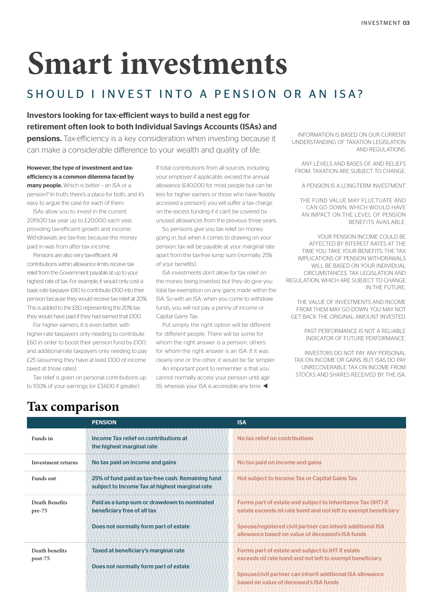## **Smart investments**

## SHOULD LINVEST INTO A PENSION OR AN ISA?

Investors looking for tax-efficient ways to build a nest egg for retirement often look to both Individual Savings Accounts (ISAs) and

**pensions.** Tax-efficiency is a key consideration when investing because it can make a considerable difference to your wealth and quality of life.

However, the type of investment and taxefficiency is a common dilemma faced by many people. Which is better - an ISA or a pension? In truth, there's a place for both, and it's easy to argue the case for each of them.

ISAs allow you to invest in the current 2019/20 tax year up to £20,000 each year, providing tax-efficient growth and income. Withdrawals are tax-free because the money paid in was from after-tax income.

Pensions are also very tax-efficient. All contributions within allowance limits receive tax relief from the Government payable at up to your highest rate of tax. For example, it would only cost a basic-rate taxpayer £80 to contribute £100 into their pension because they would receive tax relief at 20%. This is added to the £80, representing the 20% tax they would have paid if they had earned that £100.

For higher earners, it is even better, with higher-rate taxpayers only needing to contribute £60 in order to boost their pension fund by £100, and additional-rate taxpayers only needing to pay £25 (assuming they have at least £100 of income taxed at those rates).

Tax relief is given on personal contributions up to 100% of your earnings (or £3,600 if greater).

If total contributions from all sources, including your employer if applicable, exceed the annual allowance (£40,000 for most people but can be less for higher earners or those who have flexibly accessed a pension), you will suffer a tax charge on the excess funding if it can't be covered by unused allowances from the previous three years.

So, pensions give you tax relief on money going in, but when it comes to drawing on your pension, tax will be payable at your marginal rate apart from the tax-free lump sum (normally 25% of your benefits).

ISA investments don't allow for tax relief on the money being invested, but they do give you total tax exemption on any gains made within the ISA. So with an ISA, when you come to withdraw funds, you will not pay a penny of income or Capital Gains Tax.

Put simply, the right option will be different for different people. There will be some for whom the right answer is a pension, others for whom the right answer is an ISA. If it was clearly one or the other, it would be far simpler.

An important point to remember is that you cannot normally access your pension until age 55, whereas your ISA is accessible any time.  $\blacktriangleleft$ 

INFORMATION IS BASED ON OUR CURRENT UNDERSTANDING OF TAXATION LEGISLATION AND REGULATIONS.

ANY LEVELS AND BASES OF, AND RELIEFS FROM, TAXATION ARE SUBJECT TO CHANGE.

A PENSION IS A LONG-TERM INVESTMENT.

THE FUND VALUE MAY FLUCTUATE AND CAN GO DOWN, WHICH WOULD HAVE AN IMPACT ON THE LEVEL OF PENSION BENEFITS AVAILABLE.

YOUR PENSION INCOME COULD BE AFFECTED BY INTEREST RATES AT THE TIME YOU TAKE YOUR BENEFITS. THE TAX IMPLICATIONS OF PENSION WITHDRAWALS WILL BE BASED ON YOUR INDIVIDUAL CIRCUMSTANCES, TAX LEGISLATION AND REGULATION, WHICH ARE SUBJECT TO CHANGE IN THE FUTURE.

THE VALUE OF INVESTMENTS AND INCOME FROM THEM MAY GO DOWN. YOU MAY NOT GET BACK THE ORIGINAL AMOUNT INVESTED.

> PAST PERFORMANCE IS NOT A RELIABLE INDICATOR OF FUTURE PERFORMANCE.

INVESTORS DO NOT PAY ANY PERSONAL TAX ON INCOME OR GAINS, BUT ISAS DO PAY UNRECOVERABLE TAX ON INCOME FROM STOCKS AND SHARES RECEIVED BY THE ISA.

|                                 | <b>PENSION</b>                                                                                      | <b>ISA</b>                                                                                                                      |
|---------------------------------|-----------------------------------------------------------------------------------------------------|---------------------------------------------------------------------------------------------------------------------------------|
| Funds in                        | Income Tax relief on contributions at<br>the highest marginal rate                                  | No tax relief on contributions                                                                                                  |
| <b>Investment returns</b>       | No tax paid on income and gains                                                                     | No tax paid on income and gains                                                                                                 |
| <b>Funds</b> out                | 25% of fund paid as tax-free cash. Remaining fund<br>subject to Income Tax at highest marginal rate | Not subject to Income Tax or Capital Gains Tax                                                                                  |
| <b>Death Benefits</b><br>pre-75 | Paid as a lump sum or drawdown to nominated<br>beneficiary free of all tax                          | Forms part of estate and subject to Inheritance Tax (IHT) if<br>estate exceeds nil rate band and not left to exempt beneficiary |
|                                 | Does not normally form part of estate                                                               | Spouse/registered civil partner can inherit additional ISA<br>allowance based on value of deceased's ISA funds                  |
| Death benefits<br>$post-75$     | Taxed at beneficiary's marginal rate<br>Does not normally form part of estate                       | Forms part of estate and subject to IHT if estate<br>exceeds nil rate band and not left to exempt beneficiary                   |
|                                 |                                                                                                     | Spouse/civil partner can inherit additional ISA allowance<br>based on value of deceased's ISA funds                             |

## **Tax comparison**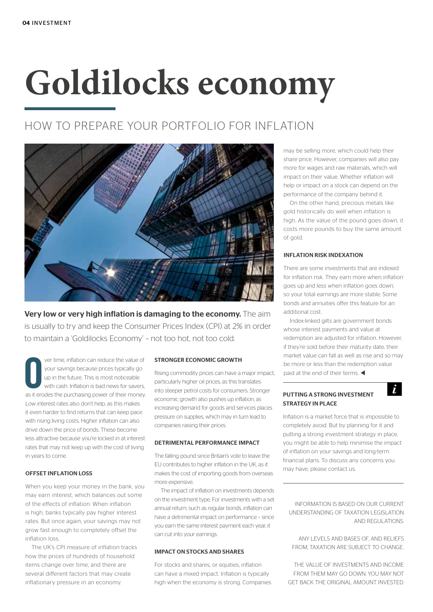# **Goldilocks economy**

## HOW TO PREPARE YOUR PORTFOLIO FOR INFLATION



Very low or very high inflation is damaging to the economy. The aim is usually to try and keep the Consumer Prices Index (CPI) at 2% in order to maintain a 'Goldilocks Economy' – not too hot, not too cold.

**O EXECUTE:** Your savings because prices typically go
up in the future. This is most noticeable<br>
with cash. Inflation is bad news for savers,<br>
as it erodes the purchasing power of their money. ver time, inflation can reduce the value of your savings because prices typically go up in the future. This is most noticeable with cash. Inflation is bad news for savers, Low interest rates also don't help, as this makes it even harder to find returns that can keep pace with rising living costs. Higher inflation can also drive down the price of bonds. These become less attractive because you're locked in at interest rates that may not keep up with the cost of living in years to come.

## OFFSET INFLATION LOSS

When you keep your money in the bank, you may earn interest, which balances out some of the effects of inflation. When inflation is high, banks typically pay higher interest rates. But once again, your savings may not grow fast enough to completely offset the inflation loss.

The UK's CPI measure of inflation tracks how the prices of hundreds of household items change over time, and there are several different factors that may create inflationary pressure in an economy.

#### STRONGER ECONOMIC GROWTH

Rising commodity prices can have a major impact, particularly higher oil prices, as this translates into steeper petrol costs for consumers. Stronger economic growth also pushes up inflation, as increasing demand for goods and services places pressure on supplies, which may in turn lead to companies raising their prices.

#### DETRIMENTAL PERFORMANCE IMPACT

The falling pound since Britain's vote to leave the EU contributes to higher inflation in the UK, as it makes the cost of importing goods from overseas more expensive.

The impact of inflation on investments depends on the investment type. For investments with a set annual return, such as regular bonds, inflation can have a detrimental impact on performance – since you earn the same interest payment each year, it can cut into your earnings.

## IMPACT ON STOCKS AND SHARES

For stocks and shares, or equities, inflation can have a mixed impact. Inflation is typically high when the economy is strong. Companies may be selling more, which could help their share price. However, companies will also pay more for wages and raw materials, which will impact on their value. Whether inflation will help or impact on a stock can depend on the performance of the company behind it.

On the other hand, precious metals like gold historically do well when inflation is high. As the value of the pound goes down, it costs more pounds to buy the same amount of gold.

## INFLATION RISK INDEXATION

There are some investments that are indexed for inflation risk. They earn more when inflation goes up and less when inflation goes down, so your total earnings are more stable. Some bonds and annuities offer this feature for an additional cost.

Index-linked gilts are government bonds whose interest payments and value at redemption are adjusted for inflation. However, if they're sold before their maturity date, their market value can fall as well as rise and so may be more or less than the redemption value paid at the end of their terms.  $\blacktriangleleft$ 

 $\mathbf{i}$ 

## PUTTING A STRONG INVESTMENT STRATEGY IN PLACE

Inflation is a market force that is impossible to completely avoid. But by planning for it and putting a strong investment strategy in place, you might be able to help minimise the impact of inflation on your savings and long-term financial plans. To discuss any concerns you may have, please contact us.

INFORMATION IS BASED ON OUR CURRENT UNDERSTANDING OF TAXATION LEGISLATION AND REGULATIONS.

ANY LEVELS AND BASES OF, AND RELIEFS FROM, TAXATION ARE SUBJECT TO CHANGE.

THE VALUE OF INVESTMENTS AND INCOME FROM THEM MAY GO DOWN. YOU MAY NOT GET BACK THE ORIGINAL AMOUNT INVESTED.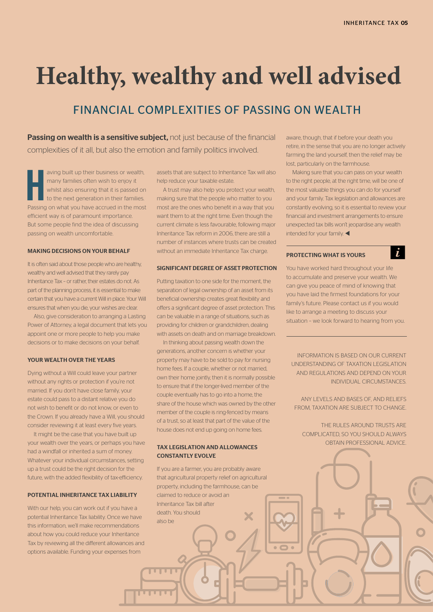## **Healthy, wealthy and well advised**

## FINANCIAL COMPLEXITIES OF PASSING ON WEALTH

Passing on wealth is a sensitive subject, not just because of the financial complexities of it all, but also the emotion and family politics involved.

**Here** wing built up their business or wealth, many families often wish to enjoy it whilst also ensuring that it is passed on to the next generation in their families. Passing on what you have accrued in the most aving built up their business or wealth, many families often wish to enjoy it whilst also ensuring that it is passed on to the next generation in their families. efficient way is of paramount importance. But some people find the idea of discussing passing on wealth uncomfortable.

### MAKING DECISIONS ON YOUR BEHALF

It is often said about those people who are healthy, wealthy and well advised that they rarely pay Inheritance Tax – or rather, their estates do not. As part of the planning process, it is essential to make certain that you have a current Will in place. Your Will ensures that when you die, your wishes are clear.

Also, give consideration to arranging a Lasting Power of Attorney, a legal document that lets you appoint one or more people to help you make decisions or to make decisions on your behalf.

## YOUR WEALTH OVER THE YEARS

Dying without a Will could leave your partner without any rights or protection if you're not married. If you don't have close family, your estate could pass to a distant relative you do not wish to benefit or do not know, or even to the Crown. If you already have a Will, you should consider reviewing it at least every five years.

It might be the case that you have built up your wealth over the years, or perhaps you have had a windfall or inherited a sum of money. Whatever your individual circumstances, setting up a trust could be the right decision for the future, with the added flexibility of tax-efficiency.

## **POTENTIAL INHERITANCE TAY LIABILITY**

With our help, you can work out if you have a potential Inheritance Tax liability. Once we have this information, we'll make recommendations about how you could reduce your Inheritance Tax by reviewing all the different allowances and options available. Funding your expenses from

assets that are subject to Inheritance Tax will also help reduce your taxable estate.

A trust may also help you protect your wealth, making sure that the people who matter to you most are the ones who benefit in a way that you want them to at the right time. Even though the current climate is less favourable, following major Inheritance Tax reform in 2006, there are still a number of instances where trusts can be created without an immediate Inheritance Tax charge.

## SIGNIFICANT DEGREE OF ASSET PROTECTION

Putting taxation to one side for the moment, the separation of legal ownership of an asset from its beneficial ownership creates great flexibility and offers a significant degree of asset protection. This can be valuable in a range of situations, such as providing for children or grandchildren, dealing with assets on death and on marriage breakdown.

In thinking about passing wealth down the generations, another concern is whether your property may have to be sold to pay for nursing home fees. If a couple, whether or not married, own their home jointly, then it is normally possible to ensure that if the longer-lived member of the couple eventually has to go into a home, the share of the house which was owned by the other member of the couple is ring-fenced by means of a trust, so at least that part of the value of the house does not end up going on home fees.

## TAX LEGISLATION AND ALLOWANCES CONSTANTLY EVOLVE

If you are a farmer, you are probably aware that agricultural property relief on agricultural property, including the farmhouse, can be claimed to reduce or avoid an Inheritance Tax bill after death. You should also be

**THE** 

aware, though, that if before your death you retire, in the sense that you are no longer actively farming the land yourself, then the relief may be lost, particularly on the farmhouse.

Making sure that you can pass on your wealth to the right people, at the right time, will be one of the most valuable things you can do for yourself and your family. Tax legislation and allowances are constantly evolving, so it is essential to review your financial and investment arrangements to ensure unexpected tax bills won't jeopardise any wealth intended for your family.  $\blacktriangleleft$ 

#### PROTECTING WHAT IS YOURS

You have worked hard throughout your life to accumulate and preserve your wealth. We can give you peace of mind of knowing that you have laid the firmest foundations for your family's future. Please contact us if you would like to arrange a meeting to discuss your situation – we look forward to hearing from you.

 $\dot{I}$ 

INFORMATION IS BASED ON OUR CURRENT UNDERSTANDING OF TAXATION LEGISLATION AND REGULATIONS AND DEPEND ON YOUR INDIVIDUAL CIRCUMSTANCES.

ANY LEVELS AND BASES OF, AND RELIEFS FROM, TAXATION ARE SUBJECT TO CHANGE.

THE RULES AROUND TRUSTS ARE COMPLICATED, SO YOU SHOULD ALWAYS OBTAIN PROFESSIONAL ADVICE.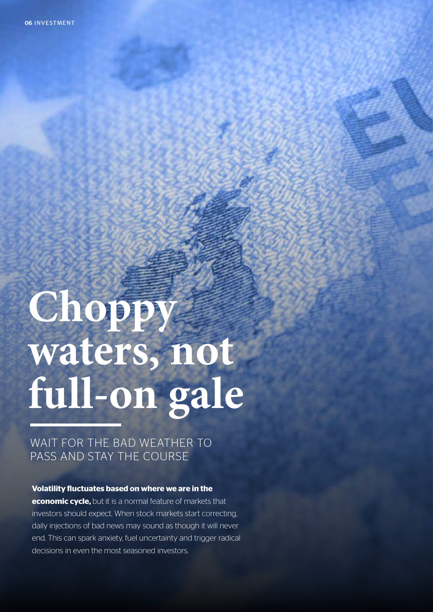# Choppy waters, not **full-on gale**

## WAIT FOR THE BAD WEATHER TO PASS AND STAY THE COURSE

## **Volatility fluctuates based on where we are in the**

**economic cycle,** but it is a normal feature of markets that investors should expect. When stock markets start correcting, daily injections of bad news may sound as though it will never end. This can spark anxiety, fuel uncertainty and trigger radical decisions in even the most seasoned investors.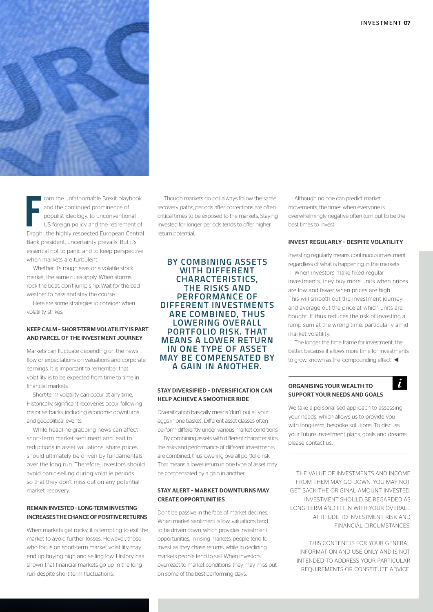

From the unfathomable Brexit playbook<br>
and the continued prominence of<br>
populist ideology, to unconventional<br>
US foreign policy and the retirement of<br>
Draghi, the highly respected European Central rom the unfathomable Brexit playbook and the continued prominence of populist ideology, to unconventional US foreign policy and the retirement of Bank president, uncertainty prevails. But it's essential not to panic and to keep perspective when markets are turbulent.

Whether it's rough seas or a volatile stock market, the same rules apply. When storms rock the boat, don't jump ship. Wait for the bad weather to pass and stay the course.

Here are some strategies to consider when volatility strikes.

## KEEP CALM – SHORT-TERM VOLATILITY IS PART AND PARCEL OF THE INVESTMENT JOURNEY

Markets can fluctuate depending on the news flow or expectations on valuations and corporate earnings. It is important to remember that volatility is to be expected from time to time in financial markets.

Short-term volatility can occur at any time. Historically, significant recoveries occur following major setbacks, including economic downturns and geopolitical events.

While headline-grabbing news can affect short-term market sentiment and lead to reductions in asset valuations, share prices should ultimately be driven by fundamentals over the long run. Therefore, investors should avoid panic-selling during volatile periods so that they don't miss out on any potential market recovery.

## REMAIN INVESTED – LONG-TERM INVESTING INCREASES THE CHANCE OF POSITIVE RETURNS

When markets get rocky, it is tempting to exit the market to avoid further losses. However, those who focus on short-term market volatility may end up buying high and selling low. History has shown that financial markets go up in the long run despite short-term fluctuations.

Though markets do not always follow the same recovery paths, periods after corrections are often critical times to be exposed to the markets. Staying invested for longer periods tends to offer higher return potential.

**BY COMBINING ASSETS WITH DIFFERENT CHARACTERISTICS, THE RISKS AND PERFORMANCE OF DIFFERENT INVESTMENTS ARE COMBINED, THUS LOWERING OVERALL PORTFOLIO RISK. THAT MEANS A LOWER RETURN IN ONE TYPE OF ASSET MAY BE COMPENSATED BY A GAIN IN ANOTHER.**

## STAY DIVERSIFIED – DIVERSIFICATION CAN HELP ACHIEVE A SMOOTHER RIDE

Diversification basically means 'don't put all your eggs in one basket'. Different asset classes often perform differently under various market conditions.

By combining assets with different characteristics, the risks and performance of different investments are combined, thus lowering overall portfolio risk. That means a lower return in one type of asset may be compensated by a gain in another.

## STAY ALERT – MARKET DOWNTURNS MAY CREATE OPPORTUNITIES

Don't be passive in the face of market declines. When market sentiment is low, valuations tend to be driven down, which provides investment opportunities. In rising markets, people tend to invest as they chase returns, while in declining markets people tend to sell. When investors overreact to market conditions, they may miss out on some of the best-performing days.

Although no one can predict market movements, the times when everyone is overwhelmingly negative often turn out to be the best times to invest.

## INVEST REGULARLY – DESPITE VOLATILITY

Investing regularly means continuous investment regardless of what is happening in the markets.

When investors make fixed regular investments, they buy more units when prices are low and fewer when prices are high. This will smooth out the investment journey and average out the price at which units are bought. It thus reduces the risk of investing a lump sum at the wrong time, particularly amid market volatility.

The longer the time frame for investment, the better, because it allows more time for investments to grow, known as the 'compounding effect'.  $\blacktriangleleft$ 

 $\dot{L}$ 

## ORGANISING YOUR WEALTH TO SUPPORT YOUR NEEDS AND GOALS

We take a personalised approach to assessing your needs, which allows us to provide you with long-term, bespoke solutions. To discuss your future investment plans, goals and dreams, please contact us.

THE VALUE OF INVESTMENTS AND INCOME FROM THEM MAY GO DOWN. YOU MAY NOT GET BACK THE ORIGINAL AMOUNT INVESTED. INVESTMENT SHOULD BE REGARDED AS LONG TERM AND FIT IN WITH YOUR OVERALL ATTITUDE TO INVESTMENT RISK AND FINANCIAL CIRCUMSTANCES.

THIS CONTENT IS FOR YOUR GENERAL INFORMATION AND USE ONLY AND IS NOT INTENDED TO ADDRESS YOUR PARTICULAR REQUIREMENTS OR CONSTITUTE ADVICE.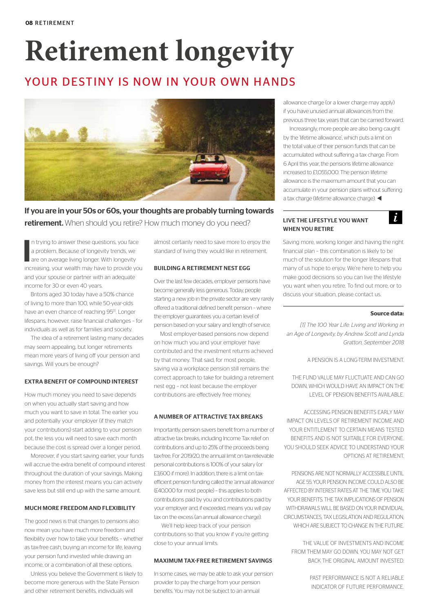## **Retirement longevity**

## YOUR DESTINY IS NOW IN YOUR OWN HANDS



If you are in your 50s or 60s, your thoughts are probably turning towards retirement. When should you retire? How much money do you need?

I n trying to answer these questions, you face a problem. Because of longevity trends, we are on average living longer. With longevity increasing, your wealth may have to provide you and your spouse or partner with an adequate income for 30 or even 40 years.

Britons aged 30 today have a 50% chance of living to more than 100, while 50-year-olds have an even chance of reaching 95<sup>[1]</sup>. Longer lifespans, however, raise financial challenges – for individuals as well as for families and society.

The idea of a retirement lasting many decades may seem appealing, but longer retirements mean more years of living off your pension and savings. Will yours be enough?

## EXTRA BENEFIT OF COMPOUND INTEREST

How much money you need to save depends on when you actually start saving and how much you want to save in total. The earlier you and potentially your employer (if they match your contributions) start adding to your pension pot, the less you will need to save each month because the cost is spread over a longer period.

Moreover, if you start saving earlier, your funds will accrue the extra benefit of compound interest throughout the duration of your savings. Making money from the interest means you can actively save less but still end up with the same amount.

## MUCH MORE FREEDOM AND FLEXIBILITY

The good news is that changes to pensions also now mean you have much more freedom and flexibility over how to take your benefits – whether as tax-free cash, buying an income for life, leaving your pension fund invested while drawing an income, or a combination of all these options.

Unless you believe the Government is likely to become more generous with the State Pension and other retirement benefits, individuals will

almost certainly need to save more to enjoy the standard of living they would like in retirement.

## BUILDING A RETIREMENT NEST EGG

Over the last few decades, employer pensions have become generally less generous. Today, people starting a new job in the private sector are very rarely offered a traditional defined benefit pension – where the employer guarantees you a certain level of pension based on your salary and length of service.

Most employer-based pensions now depend on how much you and your employer have contributed and the investment returns achieved by that money. That said, for most people, saving via a workplace pension still remains the correct approach to take for building a retirement nest egg – not least because the employer contributions are effectively free money.

#### A NUMBER OF ATTRACTIVE TAX BREAKS

Importantly, pension savers benefit from a number of attractive tax breaks, including Income Tax relief on contributions and up to 25% of the proceeds being tax-free. For 2019/20, the annual limit on tax-relievable personal contributions is 100% of your salary (or £3,600 if more). In addition, there is a limit on taxefficient pension funding called the 'annual allowance' (£40,000 for most people) – this applies to both contributions paid by you and contributions paid by your employer and, if exceeded, means you will pay tax on the excess (an annual allowance charge).

We'll help keep track of your pension contributions so that you know if you're getting close to your annual limits.

## MAXIMUM TAX-FREE RETIREMENT SAVINGS

In some cases, we may be able to ask your pension provider to pay the charge from your pension benefits. You may not be subject to an annual

allowance charge (or a lower charge may apply) if you have unused annual allowances from the previous three tax years that can be carried forward.

Increasingly, more people are also being caught by the 'lifetime allowance', which puts a limit on the total value of their pension funds that can be accumulated without suffering a tax charge. From 6 April this year, the pensions lifetime allowance increased to £1,055,000. The pension lifetime allowance is the maximum amount that you can accumulate in your pension plans without suffering a tax charge (lifetime allowance charge).  $\blacktriangleleft$ 

## LIVE THE LIFESTYLE YOU WANT WHEN YOU RETIRE



Saving more, working longer and having the right financial plan – this combination is likely to be much of the solution for the longer lifespans that many of us hope to enjoy. We're here to help you make good decisions so you can live the lifestyle you want when you retire. To find out more, or to discuss your situation, please contact us.

#### **Source data:**

*[1] The 100 Year Life: Living and Working in an Age of Longevity, by Andrew Scott and Lynda Gratton, September 2018*

A PENSION IS A LONG-TERM INVESTMENT.

THE FUND VALUE MAY FLUCTUATE AND CAN GO DOWN, WHICH WOULD HAVE AN IMPACT ON THE LEVEL OF PENSION BENEFITS AVAILABLE.

ACCESSING PENSION BENEFITS EARLY MAY IMPACT ON LEVELS OF RETIREMENT INCOME AND YOUR ENTITLEMENT TO CERTAIN MEANS TESTED. BENEFITS AND IS NOT SUITABLE FOR EVERYONE. YOU SHOULD SEEK ADVICE TO UNDERSTAND YOUR OPTIONS AT RETIREMENT.

PENSIONS ARE NOT NORMALLY ACCESSIBLE UNTIL AGE 55. YOUR PENSION INCOME COULD ALSO BE AFFECTED BY INTEREST RATES AT THE TIME YOU TAKE YOUR BENEFITS. THE TAX IMPLICATIONS OF PENSION WITHDRAWALS WILL BE BASED ON YOUR INDIVIDUAL CIRCUMSTANCES, TAX LEGISLATION AND REGULATION WHICH ARE SUBJECT TO CHANGE IN THE FUTURE.

THE VALUE OF INVESTMENTS AND INCOME FROM THEM MAY GO DOWN. YOU MAY NOT GET BACK THE ORIGINAL AMOUNT INVESTED.

> PAST PERFORMANCE IS NOT A RELIABLE INDICATOR OF FUTURE PERFORMANCE.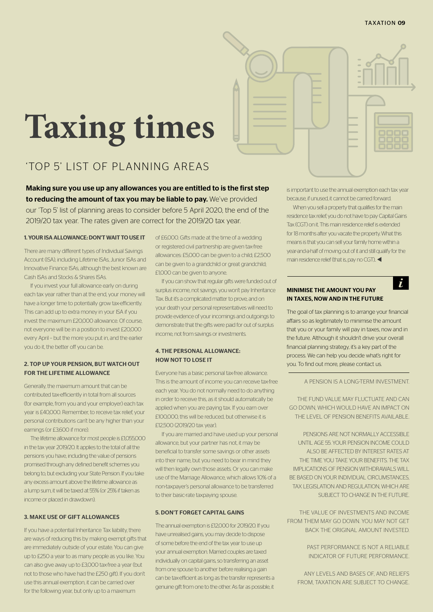# **Taxing times**

## 'TOP 5' LIST OF PLANNING AREAS

Making sure you use up any allowances you are entitled to is the first step to reducing the amount of tax you may be liable to pay. We've provided our 'Top 5' list of planning areas to consider before 5 April 2020, the end of the 2019/20 tax year. The rates given are correct for the 2019/20 tax year.

#### 1. YOUR ISA ALLOWANCE: DON'T WAIT TO USE IT

There are many different types of Individual Savings Account (ISA), including Lifetime ISAs, Junior ISAs and Innovative Finance ISAs, although the best known are Cash ISAs and Stocks & Shares ISAs.

If you invest your full allowance early on during each tax year rather than at the end, your money will have a longer time to potentially grow tax-efficiently. This can add up to extra money in your ISA if you invest the maximum £20,000 allowance. Of course, not everyone will be in a position to invest £20,000 every April – but the more you put in, and the earlier you do it, the better off you can be.

## 2. TOP UP YOUR PENSION, BUT WATCH OUT FOR THE LIFETIME ALLOWANCE

Generally, the maximum amount that can be contributed tax-efficiently in total from all sources (for example, from you and your employer) each tax year is £40,000. Remember, to receive tax relief, your personal contributions can't be any higher than your earnings (or £3,600 if more).

The lifetime allowance for most people is £1,055,000 in the tax year 2019/20. It applies to the total of all the pensions you have, including the value of pensions promised through any defined benefit schemes you belong to, but excluding your State Pension. If you take any excess amount above the lifetime allowance as a lump sum, it will be taxed at 55% (or 25% if taken as income or placed in drawdown).

### 3. MAKE USE OF GIFT ALLOWANCES

If you have a potential Inheritance Tax liability, there are ways of reducing this by making exempt gifts that are immediately outside of your estate. You can give up to £250 a year to as many people as you like. You can also give away up to £3,000 tax-free a year (but not to those who have had the £250 gift). If you don't use this annual exemption, it can be carried over for the following year, but only up to a maximum

of £6,000. Gifts made at the time of a wedding or registered civil partnership are given tax-free allowances: £5,000 can be given to a child; £2,500 can be given to a grandchild or great grandchild; £1,000 can be given to anyone.

If you can show that regular gifts were funded out of surplus income, not savings, you won't pay Inheritance Tax. But it's a complicated matter to prove, and on your death your personal representatives will need to provide evidence of your incomings and outgoings to demonstrate that the gifts were paid for out of surplus income, not from savings or investments.

## 4. THE PERSONAL ALLOWANCE: HOW NOT TO LOSE IT

Everyone has a basic personal tax-free allowance. This is the amount of income you can receive tax-free each year. You do not normally need to do anything in order to receive this, as it should automatically be applied when you are paying tax. If you earn over £100,000, this will be reduced, but otherwise it is £12,500 (2019/20 tax year).

If you are married and have used up your personal allowance, but your partner has not, it may be beneficial to transfer some savings or other assets into their name, but you need to bear in mind they will then legally own those assets. Or you can make use of the Marriage Allowance, which allows 10% of a non-taxpayer's personal allowance to be transferred to their basic-rate taxpaying spouse.

## 5. DON'T FORGET CAPITAL GAINS

The annual exemption is £12,000 for 2019/20. If you have unrealised gains, you may decide to dispose of some before the end of the tax year to use up your annual exemption. Married couples are taxed individually on capital gains, so transferring an asset from one spouse to another before realising a gain can be tax-efficient as long as the transfer represents a genuine gift from one to the other. As far as possible, it is important to use the annual exemption each tax year because, if unused, it cannot be carried forward.

When you sell a property that qualifies for the main residence tax relief, you do not have to pay Capital Gains Tax (CGT) on it. This main residence relief is extended for 18 months after you vacate the property. What this means is that you can sell your family home within a year-and-a-half of moving out of it and still qualify for the main residence relief (that is, pay no CGT).  $\blacktriangleleft$ 

 $\mathbf{r}$ 

## MINIMISE THE AMOUNT YOU PAY IN TAXES, NOW AND IN THE FUTURE

The goal of tax planning is to arrange your financial affairs so as legitimately to minimise the amount that you or your family will pay in taxes, now and in the future. Although it shouldn't drive your overall financial planning strategy, it's a key part of the process. We can help you decide what's right for you. To find out more, please contact us.

#### A PENSION IS A LONG-TERM INVESTMENT.

THE FUND VALUE MAY FLUCTUATE AND CAN GO DOWN, WHICH WOULD HAVE AN IMPACT ON THE LEVEL OF PENSION BENEFITS AVAILABLE.

PENSIONS ARE NOT NORMALLY ACCESSIBLE UNTIL AGE 55. YOUR PENSION INCOME COULD ALSO BE AFFECTED BY INTEREST RATES AT THE TIME YOU TAKE YOUR RENEFITS. THE TAY IMPLICATIONS OF PENSION WITHDRAWALS WILL BE BASED ON YOUR INDIVIDUAL CIRCUMSTANCES, TAX LEGISLATION AND REGULATION, WHICH ARE SUBJECT TO CHANGE IN THE FUTURE.

THE VALUE OF INVESTMENTS AND INCOME FROM THEM MAY GO DOWN. YOU MAY NOT GET BACK THE ORIGINAL AMOUNT INVESTED.

> PAST PERFORMANCE IS NOT A RELIABLE INDICATOR OF FUTURE PERFORMANCE.

ANY LEVELS AND BASES OF, AND RELIEFS FROM, TAXATION ARE SUBJECT TO CHANGE.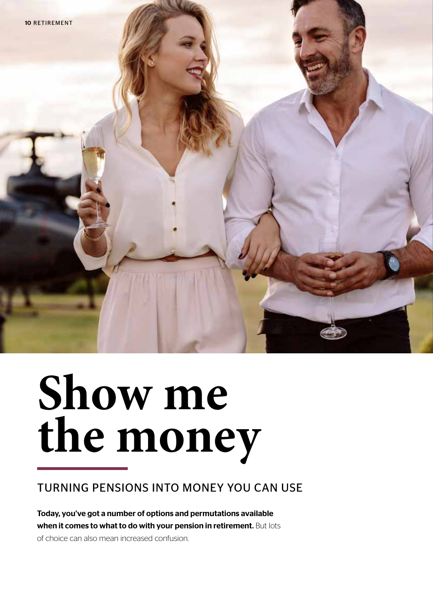

# **Show me the money**

## TURNING PENSIONS INTO MONEY YOU CAN USE

Today, you've got a number of options and permutations available when it comes to what to do with your pension in retirement. But lots

of choice can also mean increased confusion.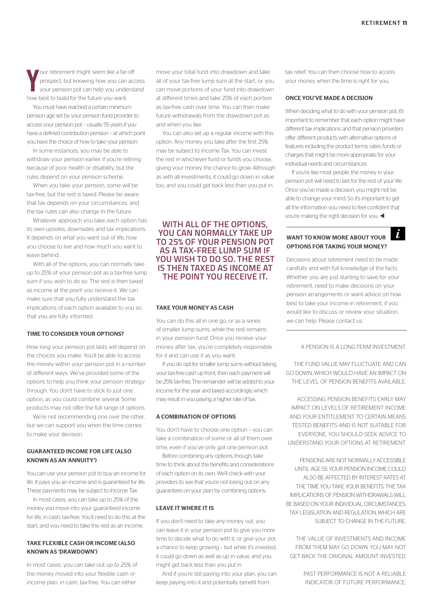**Y** our retirement might seem like a far-off prospect, but knowing how you can access your pension pot can help you understand how best to build for the future you want.

You must have reached a certain minimum pension age set by your pension fund provider to access your pension pot – usually 55 years if you have a defined contribution pension – at which point you have the choice of how to take your pension.

In some instances, you may be able to withdraw your pension earlier if you're retiring because of poor health or disability, but the rules depend on your pension scheme.

When you take your pension, some will be tax-free, but the rest is taxed. Please be aware that tax depends on your circumstances, and the tax rules can also change in the future.

Whatever approach you take, each option has its own upsides, downsides and tax implications. It depends on what you want out of life, how you choose to live and how much you want to leave behind.

With all of the options, you can normally take up to 25% of your pension pot as a tax-free lump sum if you wish to do so. The rest is then taxed as income at the point you receive it. We can make sure that you fully understand the tax implications of each option available to you so that you are fully informed.

## TIME TO CONSIDER YOUR OPTIONS?

How long your pension pot lasts will depend on the choices you make. You'll be able to access the money within your pension pot in a number of different ways. We've provided some of the options to help you think your pension strategy through. You don't have to stick to just one option, as you could combine several. Some products may not offer the full range of options.

We're not recommending one over the other, but we can support you when the time comes to make your decision.

## GUARANTEED INCOME FOR LIFE (ALSO KNOWN AS AN 'ANNUITY')

You can use your pension pot to buy an income for life. It pays you an income and is guaranteed for life. These payments may be subject to Income Tax.

In most cases, you can take up to 25% of the money you move into your guaranteed income for life, in cash, tax-free. You'll need to do this at the start, and you need to take the rest as an income.

## TAKE FLEXIBLE CASH OR INCOME (ALSO KNOWN AS 'DRAWDOWN')

In most cases, you can take out up to 25% of the money moved into your flexible cash or income plan, in cash, tax-free. You can either

move your total fund into drawdown and take all of your tax-free lump sum at the start, or you can move portions of your fund into drawdown at different times and take 25% of each portion as tax-free cash over time. You can then make future withdrawals from the drawdown pot as and when you like.

You can also set up a regular income with this option. Any money you take after the first 25% may be subject to Income Tax. You can invest the rest in whichever fund or funds you choose, giving your money the chance to grow. Although as with all investments, it could go down in value too, and you could get back less than you put in.

**WITH ALL OF THE OPTIONS, YOU CAN NORMALLY TAKE UP TO 25% OF YOUR PENSION POT AS A TAX-FREE LUMP SUM IF YOU WISH TO DO SO. THE REST IS THEN TAXED AS INCOME AT THE POINT YOU RECEIVE IT.** 

#### TAKE YOUR MONEY AS CASH

You can do this all in one go, or as a series of smaller lump sums, while the rest remains in your pension fund. Once you receive your money after tax, you're completely responsible for it and can use it as you want.

If you do opt for smaller lump sums without taking your tax-free cash up front, then each payment will be 25% tax-free. The remainder will be added to your income for the year and taxed accordingly, which may result in you paying a higher rate of tax.

### A COMBINATION OF OPTIONS

You don't have to choose one option – you can take a combination of some or all of them over time, even if you've only got one pension pot.

Before combining any options, though, take time to think about the benefits and considerations of each option on its own. We'll check with your providers to see that you're not losing out on any guarantees on your plan by combining options.

## LEAVE IT WHERE IT IS

If you don't need to take any money out, you can leave it in your pension pot to give you more time to decide what to do with it, or give your pot a chance to keep growing – but while it's invested, it could go down as well as up in value, and you might get back less than you put in.

And if you're still paying into your plan, you can keep paying into it and potentially benefit from

tax relief. You can then choose how to access your money when the time is right for you.

### ONCE YOU'VE MADE A DECISION

When deciding what to do with your pension pot, it's important to remember that each option might have different tax implications, and that pension providers offer different products with alternative options or features including the product terms, rates, funds or charges that might be more appropriate for your individual needs and circumstances.

If you're like most people, the money in your pension pot will need to last for the rest of your life. Once you've made a decision, you might not be able to change your mind. So it's important to get all the information you need to feel confident that you're making the right decision for you.  $\blacktriangleleft$ 

## WANT TO KNOW MORE ABOUT YOUR OPTIONS FOR TAKING YOUR MONEY?

Decisions about retirement need to be made carefully and with full knowledge of the facts. Whether you are just starting to save for your retirement, need to make decisions on your pension arrangements or want advice on how best to take your income in retirement, if you would like to discuss or review your situation, we can help. Please contact us.

## A PENSION IS A LONG-TERM INVESTMENT.

THE FUND VALUE MAY FLUCTUATE AND CAN GO DOWN, WHICH WOULD HAVE AN IMPACT ON THE LEVEL OF PENSION BENEFITS AVAILABLE.

ACCESSING PENSION BENEFITS EARLY MAY IMPACT ON LEVELS OF RETIREMENT INCOME AND YOUR ENTITLEMENT TO CERTAIN MEANS TESTED BENEFITS AND IS NOT SUITABLE FOR EVERYONE. YOU SHOULD SEEK ADVICE TO UNDERSTAND YOUR OPTIONS AT RETIREMENT.

PENSIONS ARE NOT NORMALLY ACCESSIBLE UNTIL AGE 55. YOUR PENSION INCOME COULD ALSO BE AFFECTED BY INTEREST RATES AT THE TIME YOU TAKE YOUR BENEFITS. THE TAX IMPLICATIONS OF PENSION WITHDRAWALS WILL BE BASED ON YOUR INDIVIDUAL CIRCUMSTANCES. TAX LEGISLATION AND REGULATION, WHICH ARE SUBJECT TO CHANGE IN THE FUTURE.

THE VALUE OF INVESTMENTS AND INCOME FROM THEM MAY GO DOWN. YOU MAY NOT GET BACK THE ORIGINAL AMOUNT INVESTED.

> PAST PERFORMANCE IS NOT A RELIABLE INDICATOR OF FUTURE PERFORMANCE.